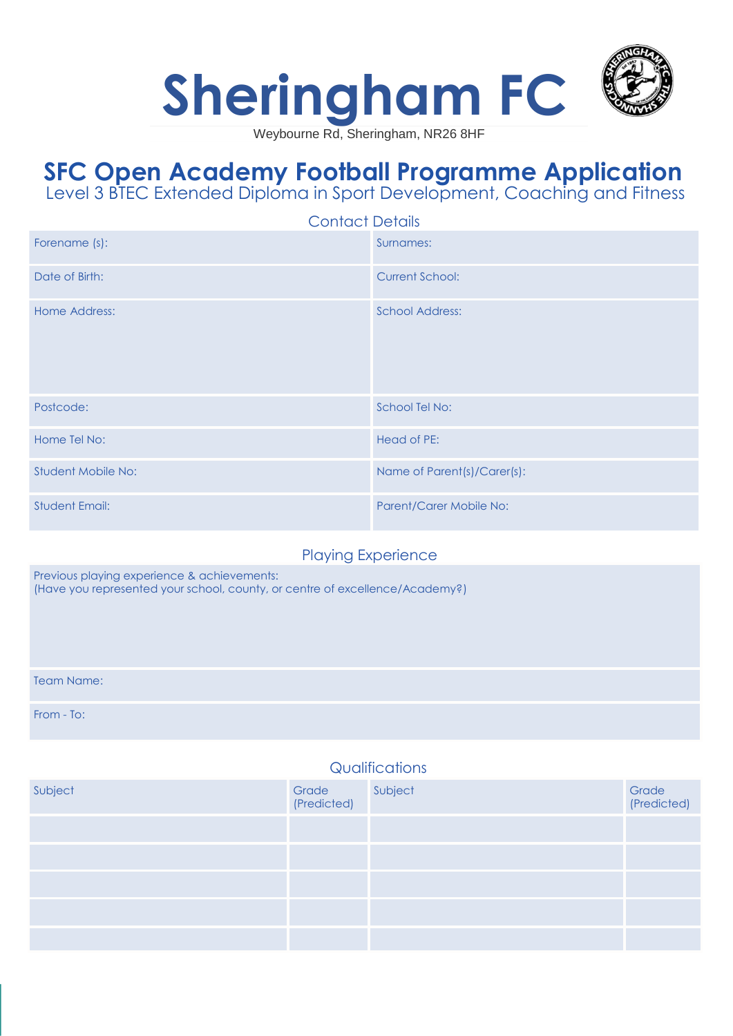

Weybourne Rd, Sheringham, NR26 8HF

## **SFC Open Academy Football Programme Application** Level 3 BTEC Extended Diploma in Sport Development, Coaching and Fitness

| <b>Contact Details</b> |                             |  |
|------------------------|-----------------------------|--|
| Forename (s):          | Surnames:                   |  |
| Date of Birth:         | <b>Current School:</b>      |  |
| Home Address:          | <b>School Address:</b>      |  |
| Postcode:              | School Tel No:              |  |
| Home Tel No:           | Head of PE:                 |  |
| Student Mobile No:     | Name of Parent(s)/Carer(s): |  |
| <b>Student Email:</b>  | Parent/Carer Mobile No:     |  |

## Playing Experience

Previous playing experience & achievements: (Have you represented your school, county, or centre of excellence/Academy?)

Team Name:

From - To:

## **Qualifications**

| Subject | Grade Subject<br>(Predicted) | Grade<br>(Predicted) |
|---------|------------------------------|----------------------|
|         |                              |                      |
|         |                              |                      |
|         |                              |                      |
|         |                              |                      |
|         |                              |                      |